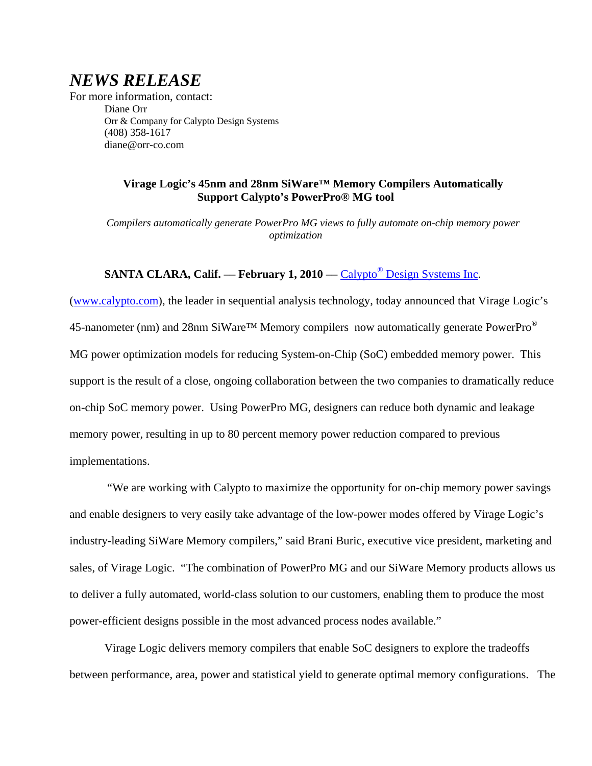# *NEWS RELEASE*

For more information, contact: Diane Orr Orr & Company for Calypto Design Systems (408) 358-1617 diane@orr-co.com

## **Virage Logic's 45nm and 28nm SiWare™ Memory Compilers Automatically Support Calypto's PowerPro® MG tool**

*Compilers automatically generate PowerPro MG views to fully automate on-chip memory power optimization* 

## **SANTA CLARA, Calif. — February 1, 2010 — Calypto<sup>®</sup> Design Systems Inc.**

(www.calypto.com), the leader in sequential analysis technology, today announced that Virage Logic's 45-nanometer (nm) and 28nm SiWare<sup>TM</sup> Memory compilers now automatically generate PowerPro<sup>®</sup> MG power optimization models for reducing System-on-Chip (SoC) embedded memory power. This support is the result of a close, ongoing collaboration between the two companies to dramatically reduce on-chip SoC memory power. Using PowerPro MG, designers can reduce both dynamic and leakage memory power, resulting in up to 80 percent memory power reduction compared to previous implementations.

 "We are working with Calypto to maximize the opportunity for on-chip memory power savings and enable designers to very easily take advantage of the low-power modes offered by Virage Logic's industry-leading SiWare Memory compilers," said Brani Buric, executive vice president, marketing and sales, of Virage Logic. "The combination of PowerPro MG and our SiWare Memory products allows us to deliver a fully automated, world-class solution to our customers, enabling them to produce the most power-efficient designs possible in the most advanced process nodes available."

Virage Logic delivers memory compilers that enable SoC designers to explore the tradeoffs between performance, area, power and statistical yield to generate optimal memory configurations. The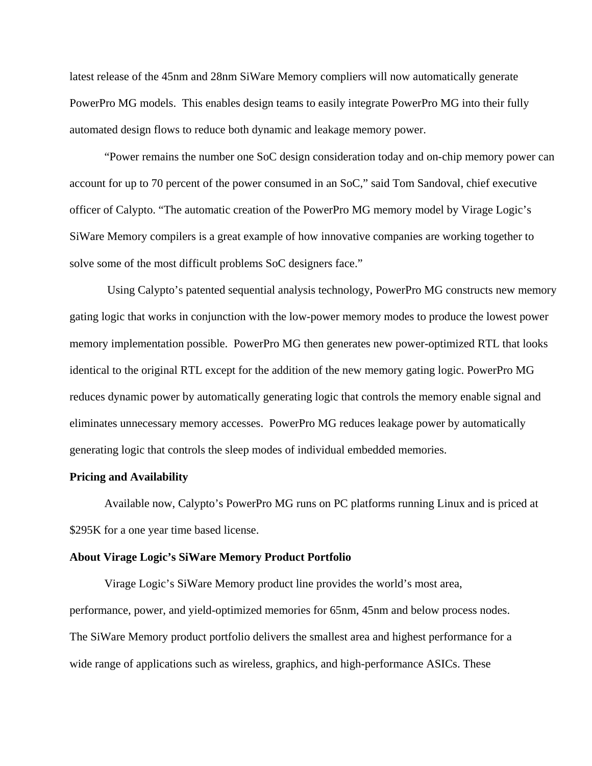latest release of the 45nm and 28nm SiWare Memory compliers will now automatically generate PowerPro MG models. This enables design teams to easily integrate PowerPro MG into their fully automated design flows to reduce both dynamic and leakage memory power.

"Power remains the number one SoC design consideration today and on-chip memory power can account for up to 70 percent of the power consumed in an SoC," said Tom Sandoval, chief executive officer of Calypto. "The automatic creation of the PowerPro MG memory model by Virage Logic's SiWare Memory compilers is a great example of how innovative companies are working together to solve some of the most difficult problems SoC designers face."

 Using Calypto's patented sequential analysis technology, PowerPro MG constructs new memory gating logic that works in conjunction with the low-power memory modes to produce the lowest power memory implementation possible. PowerPro MG then generates new power-optimized RTL that looks identical to the original RTL except for the addition of the new memory gating logic. PowerPro MG reduces dynamic power by automatically generating logic that controls the memory enable signal and eliminates unnecessary memory accesses. PowerPro MG reduces leakage power by automatically generating logic that controls the sleep modes of individual embedded memories.

#### **Pricing and Availability**

 Available now, Calypto's PowerPro MG runs on PC platforms running Linux and is priced at \$295K for a one year time based license.

#### **About Virage Logic's SiWare Memory Product Portfolio**

Virage Logic's SiWare Memory product line provides the world's most area, performance, power, and yield-optimized memories for 65nm, 45nm and below process nodes. The SiWare Memory product portfolio delivers the smallest area and highest performance for a wide range of applications such as wireless, graphics, and high-performance ASICs. These